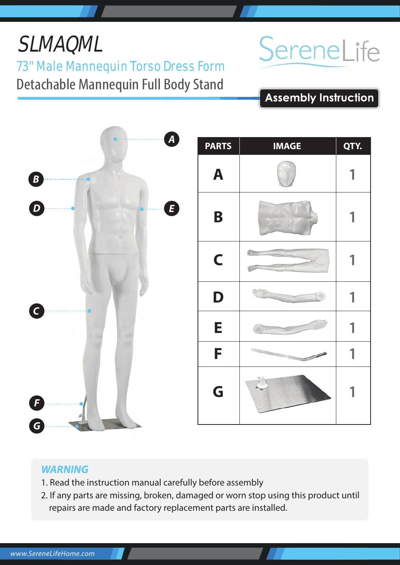## *G*

### *WARNING*

- 1. Read the instruction manual carefully before assembly
- 2. If any parts are missing, broken, damaged or worn stop using this product until repairs are made and factory replacement parts are installed.





# SereneLife

**Assembly Instruction**